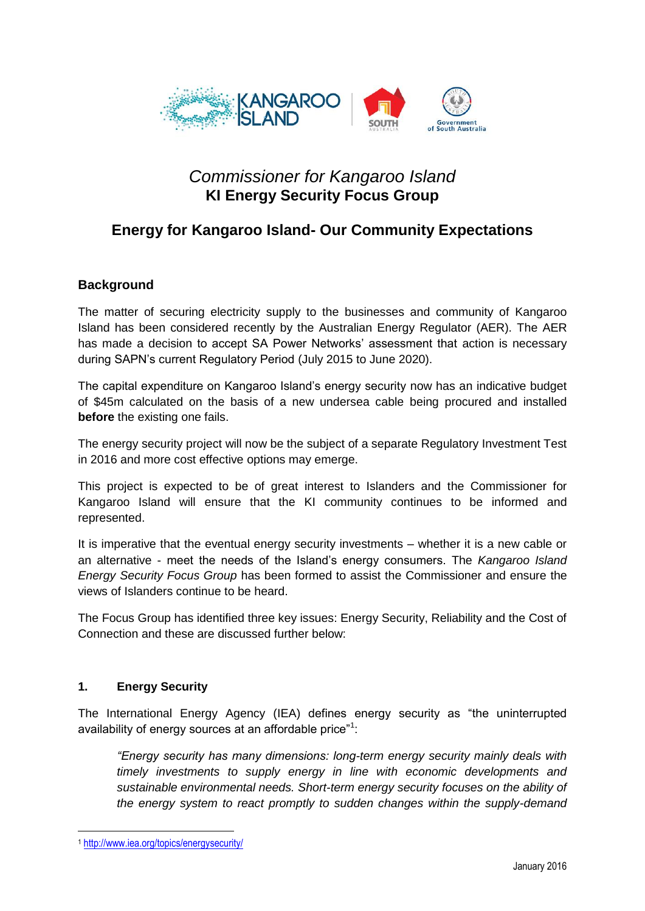

# *Commissioner for Kangaroo Island* **KI Energy Security Focus Group**

# **Energy for Kangaroo Island- Our Community Expectations**

## **Background**

The matter of securing electricity supply to the businesses and community of Kangaroo Island has been considered recently by the Australian Energy Regulator (AER). The AER has made a decision to accept SA Power Networks' assessment that action is necessary during SAPN's current Regulatory Period (July 2015 to June 2020).

The capital expenditure on Kangaroo Island's energy security now has an indicative budget of \$45m calculated on the basis of a new undersea cable being procured and installed **before** the existing one fails.

The energy security project will now be the subject of a separate Regulatory Investment Test in 2016 and more cost effective options may emerge.

This project is expected to be of great interest to Islanders and the Commissioner for Kangaroo Island will ensure that the KI community continues to be informed and represented.

It is imperative that the eventual energy security investments – whether it is a new cable or an alternative - meet the needs of the Island's energy consumers. The *Kangaroo Island Energy Security Focus Group* has been formed to assist the Commissioner and ensure the views of Islanders continue to be heard.

The Focus Group has identified three key issues: Energy Security, Reliability and the Cost of Connection and these are discussed further below:

## **1. Energy Security**

The International Energy Agency (IEA) defines energy security as "the uninterrupted availability of energy sources at an affordable price"<sup>1</sup>:

*"Energy security has many dimensions: long-term energy security mainly deals with timely investments to supply energy in line with economic developments and sustainable environmental needs. Short-term energy security focuses on the ability of the energy system to react promptly to sudden changes within the supply-demand* 

1

<sup>1</sup> <http://www.iea.org/topics/energysecurity/>